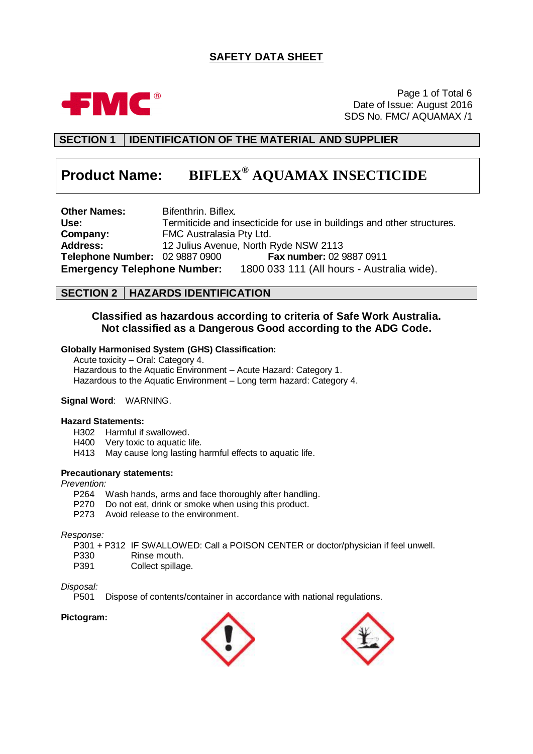## **SAFETY DATA SHEET**



Page 1 of Total 6 Date of Issue: August 2016 SDS No. FMC/ AQUAMAX /1

## **SECTION 1 IDENTIFICATION OF THE MATERIAL AND SUPPLIER**

# **Product Name: BIFLEX® AQUAMAX INSECTICIDE**

**Other Names:** Bifenthrin. Biflex.<br> **Use:** Termiticide and in **Use:** Termiticide and insecticide for use in buildings and other structures. **Company:** FMC Australasia Pty Ltd. **Address:** 12 Julius Avenue, North Ryde NSW 2113 **Telephone Number:** 02 9887 0900 **Fax number:** 02 9887 0911 **Emergency Telephone Number:** 1800 033 111 (All hours - Australia wide).

## **SECTION 2 HAZARDS IDENTIFICATION**

## **Classified as hazardous according to criteria of Safe Work Australia. Not classified as a Dangerous Good according to the ADG Code.**

### **Globally Harmonised System (GHS) Classification:**

Acute toxicity – Oral: Category 4. Hazardous to the Aquatic Environment – Acute Hazard: Category 1. Hazardous to the Aquatic Environment – Long term hazard: Category 4.

### **Signal Word**: WARNING.

#### **Hazard Statements:**

- H302 Harmful if swallowed.
- H400 Very toxic to aquatic life.
- H413 May cause long lasting harmful effects to aquatic life.

#### **Precautionary statements:**

#### *Prevention:*

- P264 Wash hands, arms and face thoroughly after handling.
- P270 Do not eat, drink or smoke when using this product.
- P273 Avoid release to the environment.

#### *Response:*

- P301 + P312 IF SWALLOWED: Call a POISON CENTER or doctor/physician if feel unwell.
- P330 Rinse mouth.
- P391 Collect spillage.

# *Disposal:*

Dispose of contents/container in accordance with national regulations.

#### **Pictogram:**



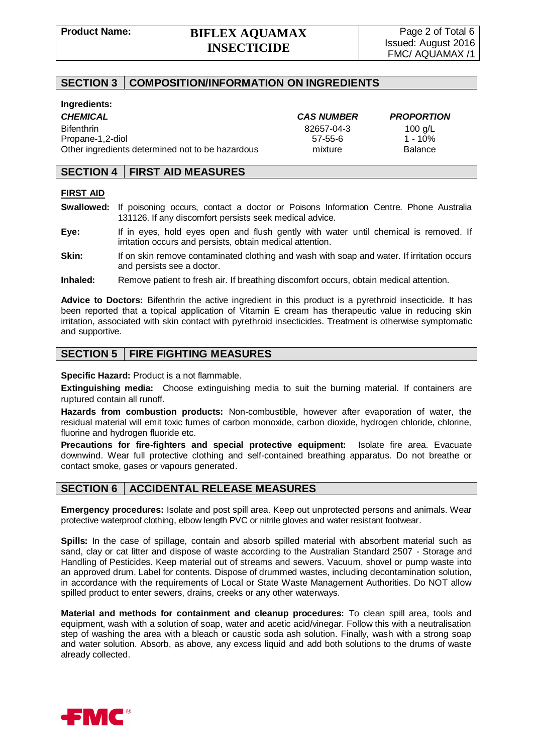## **SECTION 3 COMPOSITION/INFORMATION ON INGREDIENTS**

#### **Ingredients:**

*CHEMICAL CAS NUMBER PROPORTION* Bifenthrin 82657-04-3 100 g/L Propane-1,2-diol 57-55-6 1 - 10% Other ingredients determined not to be hazardous mixture Balance

## **SECTION 4 FIRST AID MEASURES**

#### **FIRST AID**

- **Swallowed:** If poisoning occurs, contact a doctor or Poisons Information Centre. Phone Australia 131126. If any discomfort persists seek medical advice.
- **Eye:** If in eyes, hold eyes open and flush gently with water until chemical is removed. If irritation occurs and persists, obtain medical attention.
- **Skin:** If on skin remove contaminated clothing and wash with soap and water. If irritation occurs and persists see a doctor.
- **Inhaled:** Remove patient to fresh air. If breathing discomfort occurs, obtain medical attention.

**Advice to Doctors:** Bifenthrin the active ingredient in this product is a pyrethroid insecticide. It has been reported that a topical application of Vitamin E cream has therapeutic value in reducing skin irritation, associated with skin contact with pyrethroid insecticides. Treatment is otherwise symptomatic and supportive.

## **SECTION 5 FIRE FIGHTING MEASURES**

**Specific Hazard:** Product is a not flammable.

**Extinguishing media:** Choose extinguishing media to suit the burning material. If containers are ruptured contain all runoff.

**Hazards from combustion products:** Non-combustible, however after evaporation of water, the residual material will emit toxic fumes of carbon monoxide, carbon dioxide, hydrogen chloride, chlorine, fluorine and hydrogen fluoride etc.

**Precautions for fire-fighters and special protective equipment:** Isolate fire area. Evacuate downwind. Wear full protective clothing and self-contained breathing apparatus. Do not breathe or contact smoke, gases or vapours generated.

## **SECTION 6 ACCIDENTAL RELEASE MEASURES**

**Emergency procedures:** Isolate and post spill area. Keep out unprotected persons and animals. Wear protective waterproof clothing, elbow length PVC or nitrile gloves and water resistant footwear.

**Spills:** In the case of spillage, contain and absorb spilled material with absorbent material such as sand, clay or cat litter and dispose of waste according to the Australian Standard 2507 - Storage and Handling of Pesticides. Keep material out of streams and sewers. Vacuum, shovel or pump waste into an approved drum. Label for contents. Dispose of drummed wastes, including decontamination solution, in accordance with the requirements of Local or State Waste Management Authorities. Do NOT allow spilled product to enter sewers, drains, creeks or any other waterways.

**Material and methods for containment and cleanup procedures:** To clean spill area, tools and equipment, wash with a solution of soap, water and acetic acid/vinegar. Follow this with a neutralisation step of washing the area with a bleach or caustic soda ash solution. Finally, wash with a strong soap and water solution. Absorb, as above, any excess liquid and add both solutions to the drums of waste already collected.

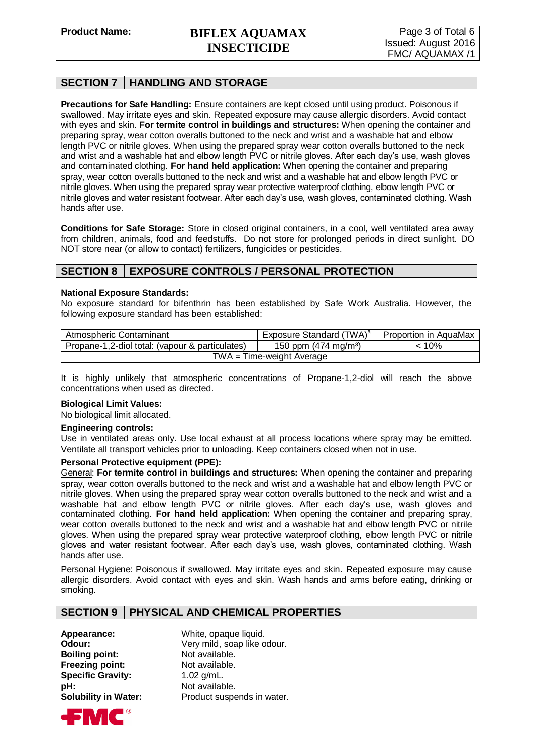## **SECTION 7 HANDLING AND STORAGE**

**Precautions for Safe Handling:** Ensure containers are kept closed until using product. Poisonous if swallowed. May irritate eyes and skin. Repeated exposure may cause allergic disorders. Avoid contact with eyes and skin. **For termite control in buildings and structures:** When opening the container and preparing spray, wear cotton overalls buttoned to the neck and wrist and a washable hat and elbow length PVC or nitrile gloves. When using the prepared spray wear cotton overalls buttoned to the neck and wrist and a washable hat and elbow length PVC or nitrile gloves. After each day's use, wash gloves and contaminated clothing. **For hand held application:** When opening the container and preparing spray, wear cotton overalls buttoned to the neck and wrist and a washable hat and elbow length PVC or nitrile gloves. When using the prepared spray wear protective waterproof clothing, elbow length PVC or nitrile gloves and water resistant footwear. After each day's use, wash gloves, contaminated clothing. Wash hands after use.

**Conditions for Safe Storage:** Store in closed original containers, in a cool, well ventilated area away from children, animals, food and feedstuffs. Do not store for prolonged periods in direct sunlight. DO NOT store near (or allow to contact) fertilizers, fungicides or pesticides.

## **SECTION 8 EXPOSURE CONTROLS / PERSONAL PROTECTION**

#### **National Exposure Standards:**

No exposure standard for bifenthrin has been established by Safe Work Australia. However, the following exposure standard has been established:

| Atmospheric Contaminant                         | Exposure Standard (TWA) <sup>a</sup> | Proportion in AquaMax |
|-------------------------------------------------|--------------------------------------|-----------------------|
| Propane-1,2-diol total: (vapour & particulates) | 150 ppm $(474 \text{ mg/m}^3)$       | < 10%                 |
| $TWA = Time-weight Average$                     |                                      |                       |

It is highly unlikely that atmospheric concentrations of Propane-1,2-diol will reach the above concentrations when used as directed.

#### **Biological Limit Values:**

No biological limit allocated.

#### **Engineering controls:**

Use in ventilated areas only. Use local exhaust at all process locations where spray may be emitted. Ventilate all transport vehicles prior to unloading. Keep containers closed when not in use.

#### **Personal Protective equipment (PPE):**

General: **For termite control in buildings and structures:** When opening the container and preparing spray, wear cotton overalls buttoned to the neck and wrist and a washable hat and elbow length PVC or nitrile gloves. When using the prepared spray wear cotton overalls buttoned to the neck and wrist and a washable hat and elbow length PVC or nitrile gloves. After each day's use, wash gloves and contaminated clothing. **For hand held application:** When opening the container and preparing spray, wear cotton overalls buttoned to the neck and wrist and a washable hat and elbow length PVC or nitrile gloves. When using the prepared spray wear protective waterproof clothing, elbow length PVC or nitrile gloves and water resistant footwear. After each day's use, wash gloves, contaminated clothing. Wash hands after use.

Personal Hygiene: Poisonous if swallowed. May irritate eyes and skin. Repeated exposure may cause allergic disorders. Avoid contact with eyes and skin. Wash hands and arms before eating, drinking or smoking.

## **SECTION 9 PHYSICAL AND CHEMICAL PROPERTIES**

**Boiling point:** Not available. **Freezing point:** Not available. **Specific Gravity:** 1.02 g/mL. **pH:** Not available.

**Appearance:** White, opaque liquid. **Odour:** Very mild, soap like odour. **Solubility in Water:** Product suspends in water.

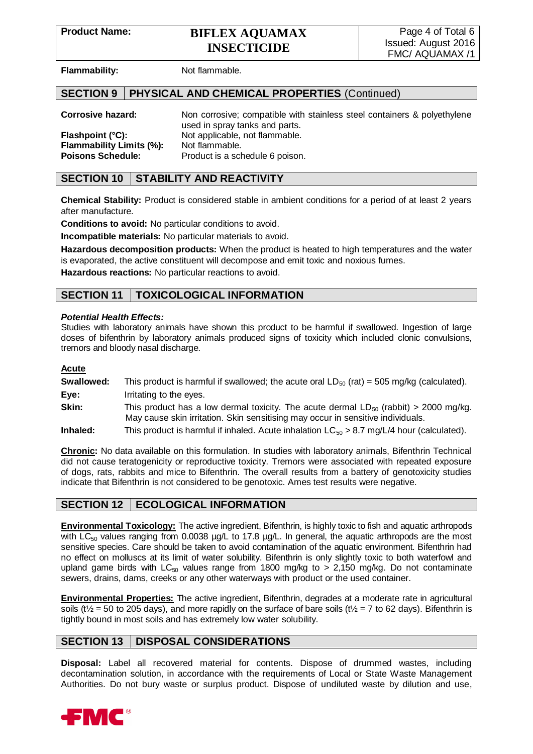**Flammability:** Not flammable.

## **SECTION 9 PHYSICAL AND CHEMICAL PROPERTIES** (Continued)

**Corrosive hazard:** Non corrosive; compatible with stainless steel containers & polyethylene used in spray tanks and parts. **Flashpoint (°C):** Not applicable, not flammable. **Flammability Limits (%):** Not flammable. **Poisons Schedule:** Product is a schedule 6 poison.

## **SECTION 10 STABILITY AND REACTIVITY**

**Chemical Stability:** Product is considered stable in ambient conditions for a period of at least 2 years after manufacture.

**Conditions to avoid:** No particular conditions to avoid.

**Incompatible materials:** No particular materials to avoid.

**Hazardous decomposition products:** When the product is heated to high temperatures and the water is evaporated, the active constituent will decompose and emit toxic and noxious fumes.

**Hazardous reactions:** No particular reactions to avoid.

## **SECTION 11 TOXICOLOGICAL INFORMATION**

#### *Potential Health Effects:*

Studies with laboratory animals have shown this product to be harmful if swallowed. Ingestion of large doses of bifenthrin by laboratory animals produced signs of toxicity which included clonic convulsions, tremors and bloody nasal discharge.

#### **Acute**

- **Swallowed:** This product is harmful if swallowed; the acute oral  $LD_{50}$  (rat) = 505 mg/kg (calculated). **Eye:** Irritating to the eyes.
- **Skin:** This product has a low dermal toxicity. The acute dermal LD<sub>50</sub> (rabbit) > 2000 mg/kg. May cause skin irritation. Skin sensitising may occur in sensitive individuals.
- **Inhaled:** This product is harmful if inhaled. Acute inhalation LC<sub>50</sub> > 8.7 mg/L/4 hour (calculated).

**Chronic:** No data available on this formulation. In studies with laboratory animals, Bifenthrin Technical did not cause teratogenicity or reproductive toxicity. Tremors were associated with repeated exposure of dogs, rats, rabbits and mice to Bifenthrin. The overall results from a battery of genotoxicity studies indicate that Bifenthrin is not considered to be genotoxic. Ames test results were negative.

## **SECTION 12 ECOLOGICAL INFORMATION**

**Environmental Toxicology:** The active ingredient, Bifenthrin, is highly toxic to fish and aquatic arthropods with  $LC_{50}$  values ranging from 0.0038  $\mu$ g/L to 17.8  $\mu$ g/L. In general, the aquatic arthropods are the most sensitive species. Care should be taken to avoid contamination of the aquatic environment. Bifenthrin had no effect on molluscs at its limit of water solubility. Bifenthrin is only slightly toxic to both waterfowl and upland game birds with  $LC_{50}$  values range from 1800 mg/kg to > 2,150 mg/kg. Do not contaminate sewers, drains, dams, creeks or any other waterways with product or the used container.

**Environmental Properties:** The active ingredient, Bifenthrin, degrades at a moderate rate in agricultural soils (t<sup> $\frac{1}{2}$ </sup> = 50 to 205 days), and more rapidly on the surface of bare soils (t<sup> $\frac{1}{2}$ </sup> = 7 to 62 days). Bifenthrin is tightly bound in most soils and has extremely low water solubility.

## **SECTION 13 DISPOSAL CONSIDERATIONS**

**Disposal:** Label all recovered material for contents. Dispose of drummed wastes, including decontamination solution, in accordance with the requirements of Local or State Waste Management Authorities. Do not bury waste or surplus product. Dispose of undiluted waste by dilution and use,

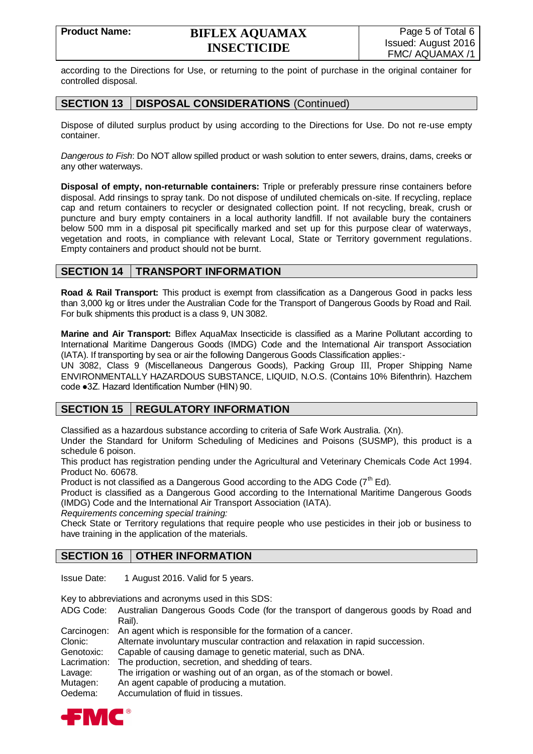according to the Directions for Use, or returning to the point of purchase in the original container for controlled disposal.

## **SECTION 13 DISPOSAL CONSIDERATIONS** (Continued)

Dispose of diluted surplus product by using according to the Directions for Use. Do not re-use empty container.

*Dangerous to Fish*: Do NOT allow spilled product or wash solution to enter sewers, drains, dams, creeks or any other waterways.

**Disposal of empty, non-returnable containers:** Triple or preferably pressure rinse containers before disposal. Add rinsings to spray tank. Do not dispose of undiluted chemicals on-site. If recycling, replace cap and return containers to recycler or designated collection point. If not recycling, break, crush or puncture and bury empty containers in a local authority landfill. If not available bury the containers below 500 mm in a disposal pit specifically marked and set up for this purpose clear of waterways, vegetation and roots, in compliance with relevant Local, State or Territory government regulations. Empty containers and product should not be burnt.

## **SECTION 14 TRANSPORT INFORMATION**

**Road & Rail Transport:** This product is exempt from classification as a Dangerous Good in packs less than 3,000 kg or litres under the Australian Code for the Transport of Dangerous Goods by Road and Rail. For bulk shipments this product is a class 9, UN 3082.

**Marine and Air Transport:** Biflex AquaMax Insecticide is classified as a Marine Pollutant according to International Maritime Dangerous Goods (IMDG) Code and the International Air transport Association (IATA). If transporting by sea or air the following Dangerous Goods Classification applies:-

UN 3082, Class 9 (Miscellaneous Dangerous Goods), Packing Group III, Proper Shipping Name ENVIRONMENTALLY HAZARDOUS SUBSTANCE, LIQUID, N.O.S. (Contains 10% Bifenthrin). Hazchem code ●3Z. Hazard Identification Number (HIN) 90.

## **SECTION 15 REGULATORY INFORMATION**

Classified as a hazardous substance according to criteria of Safe Work Australia. (Xn).

Under the Standard for Uniform Scheduling of Medicines and Poisons (SUSMP), this product is a schedule 6 poison.

This product has registration pending under the Agricultural and Veterinary Chemicals Code Act 1994. Product No. 60678.

Product is not classified as a Dangerous Good according to the ADG Code  $(7<sup>th</sup> Ed)$ .

Product is classified as a Dangerous Good according to the International Maritime Dangerous Goods (IMDG) Code and the International Air Transport Association (IATA).

*Requirements concerning special training:*

Check State or Territory regulations that require people who use pesticides in their job or business to have training in the application of the materials.

## **SECTION 16 OTHER INFORMATION**

Issue Date: 1 August 2016. Valid for 5 years.

Key to abbreviations and acronyms used in this SDS:

ADG Code: Australian Dangerous Goods Code (for the transport of dangerous goods by Road and Rail).

Carcinogen: An agent which is responsible for the formation of a cancer.

Clonic: Alternate involuntary muscular contraction and relaxation in rapid succession.

Genotoxic: Capable of causing damage to genetic material, such as DNA.

Lacrimation: The production, secretion, and shedding of tears.

Lavage: The irrigation or washing out of an organ, as of the stomach or bowel.

Mutagen: An agent capable of producing a mutation.

Oedema: Accumulation of fluid in tissues.